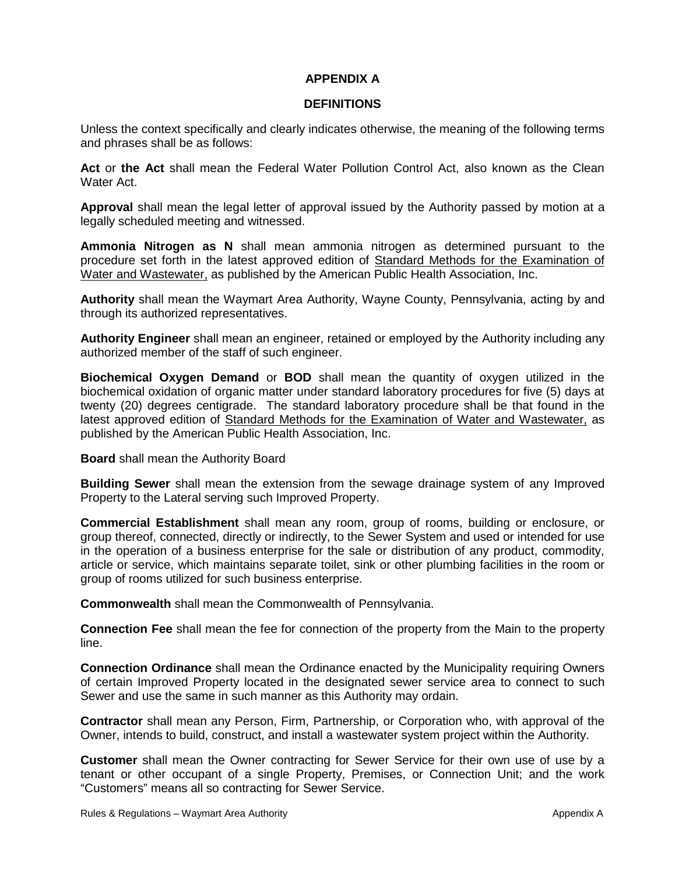## **APPENDIX A**

## **DEFINITIONS**

Unless the context specifically and clearly indicates otherwise, the meaning of the following terms and phrases shall be as follows:

Act or the Act shall mean the Federal Water Pollution Control Act, also known as the Clean Water Act.

**Approval** shall mean the legal letter of approval issued by the Authority passed by motion at a legally scheduled meeting and witnessed.

**Ammonia Nitrogen as N** shall mean ammonia nitrogen as determined pursuant to the procedure set forth in the latest approved edition of Standard Methods for the Examination of Water and Wastewater, as published by the American Public Health Association, Inc.

**Authority** shall mean the Waymart Area Authority, Wayne County, Pennsylvania, acting by and through its authorized representatives.

**Authority Engineer** shall mean an engineer, retained or employed by the Authority including any authorized member of the staff of such engineer.

**Biochemical Oxygen Demand** or **BOD** shall mean the quantity of oxygen utilized in the biochemical oxidation of organic matter under standard laboratory procedures for five (5) days at twenty (20) degrees centigrade. The standard laboratory procedure shall be that found in the latest approved edition of Standard Methods for the Examination of Water and Wastewater, as published by the American Public Health Association, Inc.

**Board** shall mean the Authority Board

**Building Sewer** shall mean the extension from the sewage drainage system of any Improved Property to the Lateral serving such Improved Property.

**Commercial Establishment** shall mean any room, group of rooms, building or enclosure, or group thereof, connected, directly or indirectly, to the Sewer System and used or intended for use in the operation of a business enterprise for the sale or distribution of any product, commodity, article or service, which maintains separate toilet, sink or other plumbing facilities in the room or group of rooms utilized for such business enterprise.

**Commonwealth** shall mean the Commonwealth of Pennsylvania.

**Connection Fee** shall mean the fee for connection of the property from the Main to the property line.

**Connection Ordinance** shall mean the Ordinance enacted by the Municipality requiring Owners of certain Improved Property located in the designated sewer service area to connect to such Sewer and use the same in such manner as this Authority may ordain.

**Contractor** shall mean any Person, Firm, Partnership, or Corporation who, with approval of the Owner, intends to build, construct, and install a wastewater system project within the Authority.

**Customer** shall mean the Owner contracting for Sewer Service for their own use of use by a tenant or other occupant of a single Property, Premises, or Connection Unit; and the work "Customers" means all so contracting for Sewer Service.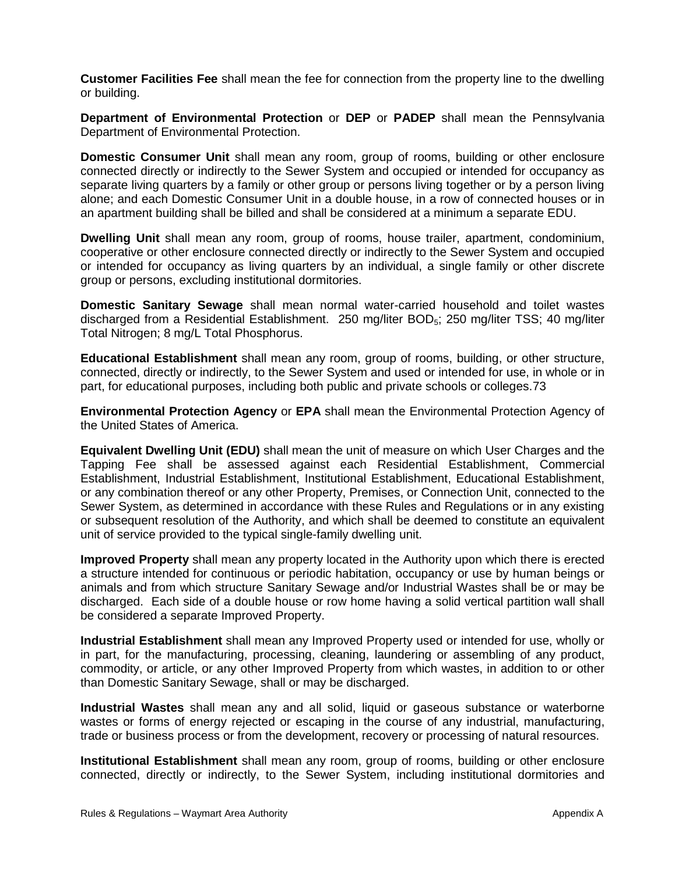**Customer Facilities Fee** shall mean the fee for connection from the property line to the dwelling or building.

**Department of Environmental Protection** or **DEP** or **PADEP** shall mean the Pennsylvania Department of Environmental Protection.

**Domestic Consumer Unit** shall mean any room, group of rooms, building or other enclosure connected directly or indirectly to the Sewer System and occupied or intended for occupancy as separate living quarters by a family or other group or persons living together or by a person living alone; and each Domestic Consumer Unit in a double house, in a row of connected houses or in an apartment building shall be billed and shall be considered at a minimum a separate EDU.

**Dwelling Unit** shall mean any room, group of rooms, house trailer, apartment, condominium, cooperative or other enclosure connected directly or indirectly to the Sewer System and occupied or intended for occupancy as living quarters by an individual, a single family or other discrete group or persons, excluding institutional dormitories.

**Domestic Sanitary Sewage** shall mean normal water-carried household and toilet wastes discharged from a Residential Establishment. 250 mg/liter BOD5; 250 mg/liter TSS; 40 mg/liter Total Nitrogen; 8 mg/L Total Phosphorus.

**Educational Establishment** shall mean any room, group of rooms, building, or other structure, connected, directly or indirectly, to the Sewer System and used or intended for use, in whole or in part, for educational purposes, including both public and private schools or colleges.73

**Environmental Protection Agency** or **EPA** shall mean the Environmental Protection Agency of the United States of America.

**Equivalent Dwelling Unit (EDU)** shall mean the unit of measure on which User Charges and the Tapping Fee shall be assessed against each Residential Establishment, Commercial Establishment, Industrial Establishment, Institutional Establishment, Educational Establishment, or any combination thereof or any other Property, Premises, or Connection Unit, connected to the Sewer System, as determined in accordance with these Rules and Regulations or in any existing or subsequent resolution of the Authority, and which shall be deemed to constitute an equivalent unit of service provided to the typical single-family dwelling unit.

**Improved Property** shall mean any property located in the Authority upon which there is erected a structure intended for continuous or periodic habitation, occupancy or use by human beings or animals and from which structure Sanitary Sewage and/or Industrial Wastes shall be or may be discharged. Each side of a double house or row home having a solid vertical partition wall shall be considered a separate Improved Property.

**Industrial Establishment** shall mean any Improved Property used or intended for use, wholly or in part, for the manufacturing, processing, cleaning, laundering or assembling of any product, commodity, or article, or any other Improved Property from which wastes, in addition to or other than Domestic Sanitary Sewage, shall or may be discharged.

**Industrial Wastes** shall mean any and all solid, liquid or gaseous substance or waterborne wastes or forms of energy rejected or escaping in the course of any industrial, manufacturing, trade or business process or from the development, recovery or processing of natural resources.

**Institutional Establishment** shall mean any room, group of rooms, building or other enclosure connected, directly or indirectly, to the Sewer System, including institutional dormitories and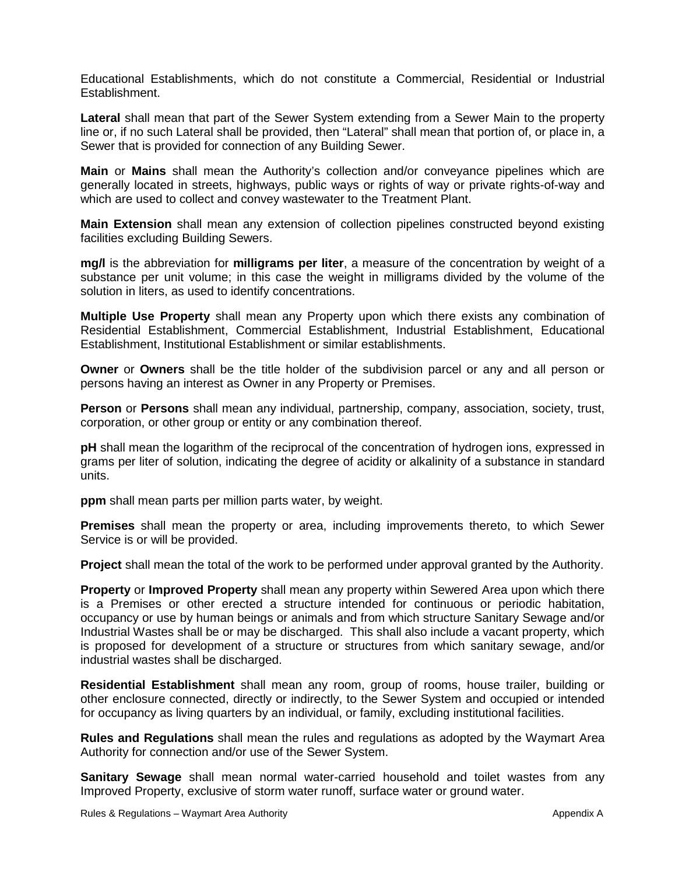Educational Establishments, which do not constitute a Commercial, Residential or Industrial Establishment.

**Lateral** shall mean that part of the Sewer System extending from a Sewer Main to the property line or, if no such Lateral shall be provided, then "Lateral" shall mean that portion of, or place in, a Sewer that is provided for connection of any Building Sewer.

**Main** or **Mains** shall mean the Authority's collection and/or conveyance pipelines which are generally located in streets, highways, public ways or rights of way or private rights-of-way and which are used to collect and convey wastewater to the Treatment Plant.

**Main Extension** shall mean any extension of collection pipelines constructed beyond existing facilities excluding Building Sewers.

**mg/l** is the abbreviation for **milligrams per liter**, a measure of the concentration by weight of a substance per unit volume; in this case the weight in milligrams divided by the volume of the solution in liters, as used to identify concentrations.

**Multiple Use Property** shall mean any Property upon which there exists any combination of Residential Establishment, Commercial Establishment, Industrial Establishment, Educational Establishment, Institutional Establishment or similar establishments.

**Owner** or **Owners** shall be the title holder of the subdivision parcel or any and all person or persons having an interest as Owner in any Property or Premises.

**Person** or **Persons** shall mean any individual, partnership, company, association, society, trust, corporation, or other group or entity or any combination thereof.

**pH** shall mean the logarithm of the reciprocal of the concentration of hydrogen ions, expressed in grams per liter of solution, indicating the degree of acidity or alkalinity of a substance in standard units.

**ppm** shall mean parts per million parts water, by weight.

**Premises** shall mean the property or area, including improvements thereto, to which Sewer Service is or will be provided.

**Project** shall mean the total of the work to be performed under approval granted by the Authority.

**Property** or **Improved Property** shall mean any property within Sewered Area upon which there is a Premises or other erected a structure intended for continuous or periodic habitation, occupancy or use by human beings or animals and from which structure Sanitary Sewage and/or Industrial Wastes shall be or may be discharged. This shall also include a vacant property, which is proposed for development of a structure or structures from which sanitary sewage, and/or industrial wastes shall be discharged.

**Residential Establishment** shall mean any room, group of rooms, house trailer, building or other enclosure connected, directly or indirectly, to the Sewer System and occupied or intended for occupancy as living quarters by an individual, or family, excluding institutional facilities.

**Rules and Regulations** shall mean the rules and regulations as adopted by the Waymart Area Authority for connection and/or use of the Sewer System.

**Sanitary Sewage** shall mean normal water-carried household and toilet wastes from any Improved Property, exclusive of storm water runoff, surface water or ground water.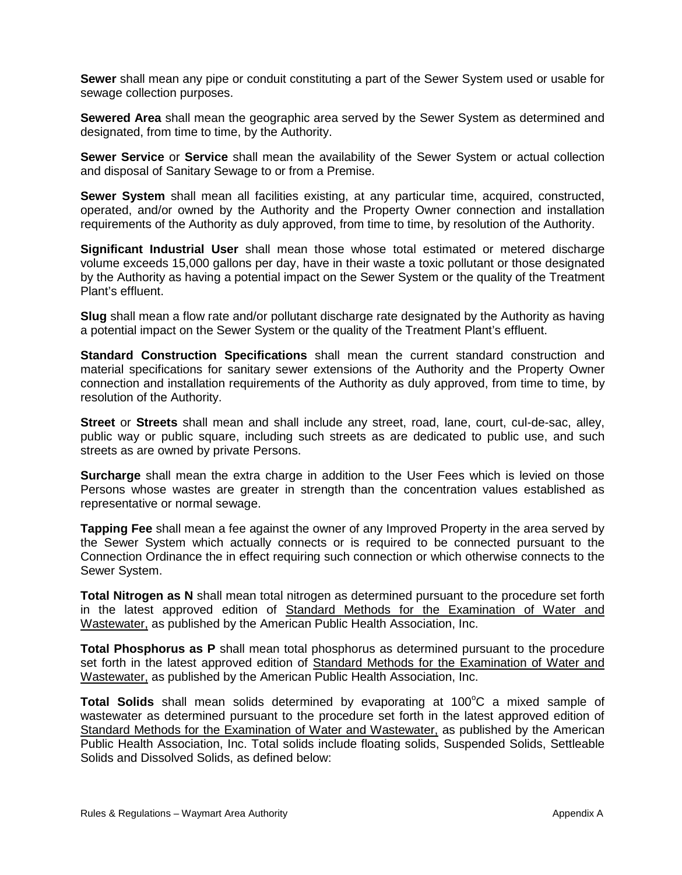**Sewer** shall mean any pipe or conduit constituting a part of the Sewer System used or usable for sewage collection purposes.

**Sewered Area** shall mean the geographic area served by the Sewer System as determined and designated, from time to time, by the Authority.

**Sewer Service** or **Service** shall mean the availability of the Sewer System or actual collection and disposal of Sanitary Sewage to or from a Premise.

**Sewer System** shall mean all facilities existing, at any particular time, acquired, constructed, operated, and/or owned by the Authority and the Property Owner connection and installation requirements of the Authority as duly approved, from time to time, by resolution of the Authority.

**Significant Industrial User** shall mean those whose total estimated or metered discharge volume exceeds 15,000 gallons per day, have in their waste a toxic pollutant or those designated by the Authority as having a potential impact on the Sewer System or the quality of the Treatment Plant's effluent.

**Slug** shall mean a flow rate and/or pollutant discharge rate designated by the Authority as having a potential impact on the Sewer System or the quality of the Treatment Plant's effluent.

**Standard Construction Specifications** shall mean the current standard construction and material specifications for sanitary sewer extensions of the Authority and the Property Owner connection and installation requirements of the Authority as duly approved, from time to time, by resolution of the Authority.

**Street** or **Streets** shall mean and shall include any street, road, lane, court, cul-de-sac, alley, public way or public square, including such streets as are dedicated to public use, and such streets as are owned by private Persons.

**Surcharge** shall mean the extra charge in addition to the User Fees which is levied on those Persons whose wastes are greater in strength than the concentration values established as representative or normal sewage.

**Tapping Fee** shall mean a fee against the owner of any Improved Property in the area served by the Sewer System which actually connects or is required to be connected pursuant to the Connection Ordinance the in effect requiring such connection or which otherwise connects to the Sewer System.

**Total Nitrogen as N** shall mean total nitrogen as determined pursuant to the procedure set forth in the latest approved edition of Standard Methods for the Examination of Water and Wastewater, as published by the American Public Health Association, Inc.

**Total Phosphorus as P** shall mean total phosphorus as determined pursuant to the procedure set forth in the latest approved edition of Standard Methods for the Examination of Water and Wastewater, as published by the American Public Health Association, Inc.

Total Solids shall mean solids determined by evaporating at 100°C a mixed sample of wastewater as determined pursuant to the procedure set forth in the latest approved edition of Standard Methods for the Examination of Water and Wastewater, as published by the American Public Health Association, Inc. Total solids include floating solids, Suspended Solids, Settleable Solids and Dissolved Solids, as defined below: